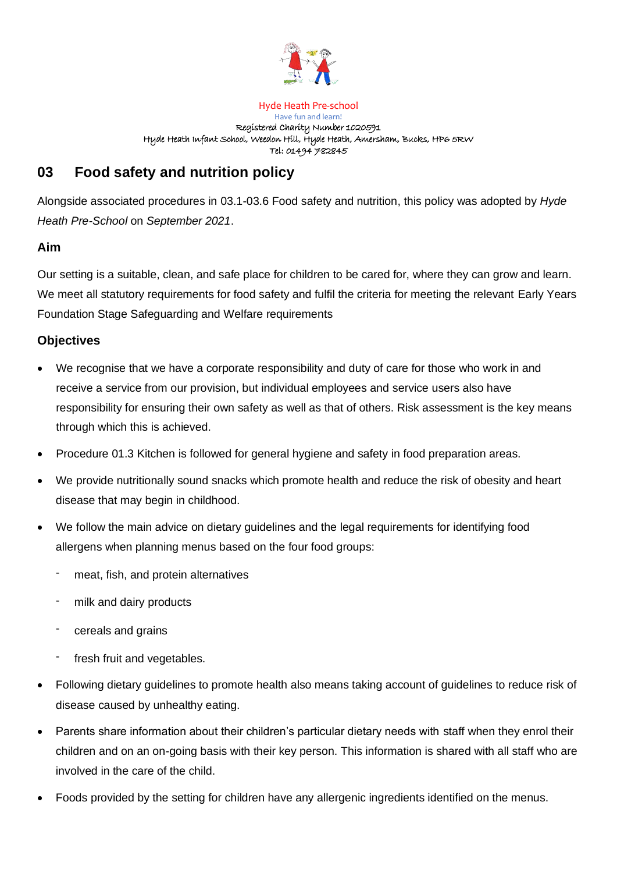

Hyde Heath Pre-school Have fun and learn! Registered Charity Number 1020591 Hyde Heath Infant School, Weedon Hill, Hyde Heath, Amersham, Bucks, HP6 5RW Tel: 01494 782845

# **03 Food safety and nutrition policy**

Alongside associated procedures in 03.1-03.6 Food safety and nutrition, this policy was adopted by *Hyde Heath Pre-School* on *September 2021*.

### **Aim**

Our setting is a suitable, clean, and safe place for children to be cared for, where they can grow and learn. We meet all statutory requirements for food safety and fulfil the criteria for meeting the relevant Early Years Foundation Stage Safeguarding and Welfare requirements

#### **Objectives**

- We recognise that we have a corporate responsibility and duty of care for those who work in and receive a service from our provision, but individual employees and service users also have responsibility for ensuring their own safety as well as that of others. Risk assessment is the key means through which this is achieved.
- Procedure 01.3 Kitchen is followed for general hygiene and safety in food preparation areas.
- We provide nutritionally sound snacks which promote health and reduce the risk of obesity and heart disease that may begin in childhood.
- We follow the main advice on dietary guidelines and the legal requirements for identifying food allergens when planning menus based on the four food groups:
	- meat, fish, and protein alternatives
	- milk and dairy products
	- cereals and grains
	- fresh fruit and vegetables.
- Following dietary guidelines to promote health also means taking account of guidelines to reduce risk of disease caused by unhealthy eating.
- Parents share information about their children's particular dietary needs with staff when they enrol their children and on an on-going basis with their key person. This information is shared with all staff who are involved in the care of the child.
- Foods provided by the setting for children have any allergenic ingredients identified on the menus.